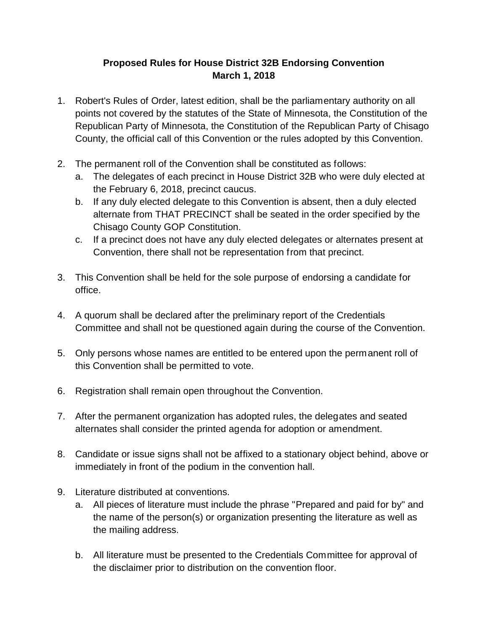## **Proposed Rules for House District 32B Endorsing Convention March 1, 2018**

- 1. Robert's Rules of Order, latest edition, shall be the parliamentary authority on all points not covered by the statutes of the State of Minnesota, the Constitution of the Republican Party of Minnesota, the Constitution of the Republican Party of Chisago County, the official call of this Convention or the rules adopted by this Convention.
- 2. The permanent roll of the Convention shall be constituted as follows:
	- a. The delegates of each precinct in House District 32B who were duly elected at the February 6, 2018, precinct caucus.
	- b. If any duly elected delegate to this Convention is absent, then a duly elected alternate from THAT PRECINCT shall be seated in the order specified by the Chisago County GOP Constitution.
	- c. If a precinct does not have any duly elected delegates or alternates present at Convention, there shall not be representation from that precinct.
- 3. This Convention shall be held for the sole purpose of endorsing a candidate for office.
- 4. A quorum shall be declared after the preliminary report of the Credentials Committee and shall not be questioned again during the course of the Convention.
- 5. Only persons whose names are entitled to be entered upon the permanent roll of this Convention shall be permitted to vote.
- 6. Registration shall remain open throughout the Convention.
- 7. After the permanent organization has adopted rules, the delegates and seated alternates shall consider the printed agenda for adoption or amendment.
- 8. Candidate or issue signs shall not be affixed to a stationary object behind, above or immediately in front of the podium in the convention hall.
- 9. Literature distributed at conventions.
	- a. All pieces of literature must include the phrase "Prepared and paid for by" and the name of the person(s) or organization presenting the literature as well as the mailing address.
	- b. All literature must be presented to the Credentials Committee for approval of the disclaimer prior to distribution on the convention floor.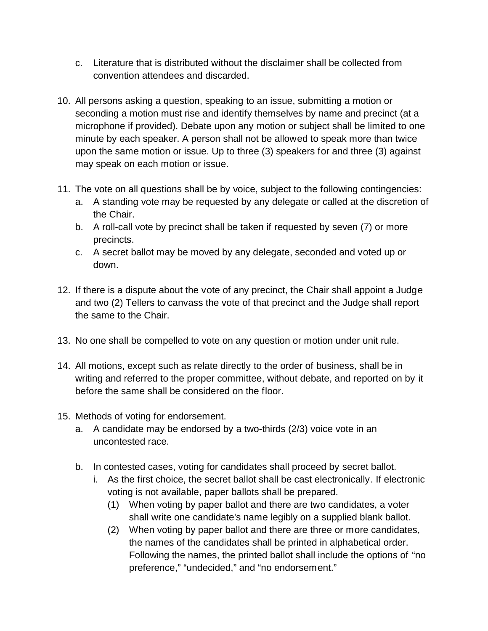- c. Literature that is distributed without the disclaimer shall be collected from convention attendees and discarded.
- 10. All persons asking a question, speaking to an issue, submitting a motion or seconding a motion must rise and identify themselves by name and precinct (at a microphone if provided). Debate upon any motion or subject shall be limited to one minute by each speaker. A person shall not be allowed to speak more than twice upon the same motion or issue. Up to three (3) speakers for and three (3) against may speak on each motion or issue.
- 11. The vote on all questions shall be by voice, subject to the following contingencies:
	- a. A standing vote may be requested by any delegate or called at the discretion of the Chair.
	- b. A roll-call vote by precinct shall be taken if requested by seven (7) or more precincts.
	- c. A secret ballot may be moved by any delegate, seconded and voted up or down.
- 12. If there is a dispute about the vote of any precinct, the Chair shall appoint a Judge and two (2) Tellers to canvass the vote of that precinct and the Judge shall report the same to the Chair.
- 13. No one shall be compelled to vote on any question or motion under unit rule.
- 14. All motions, except such as relate directly to the order of business, shall be in writing and referred to the proper committee, without debate, and reported on by it before the same shall be considered on the floor.
- 15. Methods of voting for endorsement.
	- a. A candidate may be endorsed by a two-thirds (2/3) voice vote in an uncontested race.
	- b. In contested cases, voting for candidates shall proceed by secret ballot.
		- i. As the first choice, the secret ballot shall be cast electronically. If electronic voting is not available, paper ballots shall be prepared.
			- (1) When voting by paper ballot and there are two candidates, a voter shall write one candidate's name legibly on a supplied blank ballot.
			- (2) When voting by paper ballot and there are three or more candidates, the names of the candidates shall be printed in alphabetical order. Following the names, the printed ballot shall include the options of "no preference," "undecided," and "no endorsement."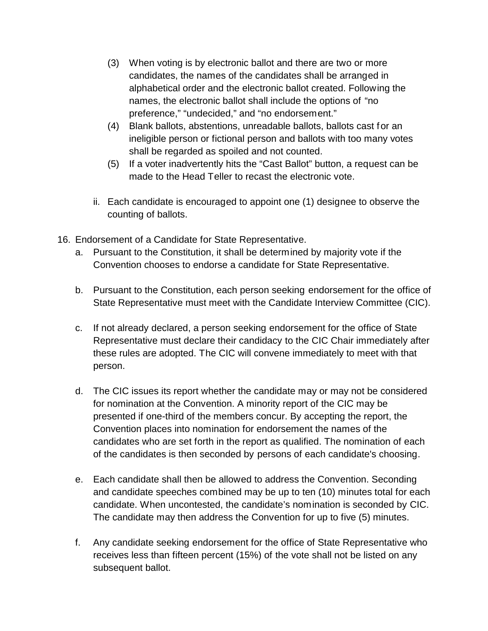- (3) When voting is by electronic ballot and there are two or more candidates, the names of the candidates shall be arranged in alphabetical order and the electronic ballot created. Following the names, the electronic ballot shall include the options of "no preference," "undecided," and "no endorsement."
- (4) Blank ballots, abstentions, unreadable ballots, ballots cast for an ineligible person or fictional person and ballots with too many votes shall be regarded as spoiled and not counted.
- (5) If a voter inadvertently hits the "Cast Ballot" button, a request can be made to the Head Teller to recast the electronic vote.
- ii. Each candidate is encouraged to appoint one (1) designee to observe the counting of ballots.
- 16. Endorsement of a Candidate for State Representative.
	- a. Pursuant to the Constitution, it shall be determined by majority vote if the Convention chooses to endorse a candidate for State Representative.
	- b. Pursuant to the Constitution, each person seeking endorsement for the office of State Representative must meet with the Candidate Interview Committee (CIC).
	- c. If not already declared, a person seeking endorsement for the office of State Representative must declare their candidacy to the CIC Chair immediately after these rules are adopted. The CIC will convene immediately to meet with that person.
	- d. The CIC issues its report whether the candidate may or may not be considered for nomination at the Convention. A minority report of the CIC may be presented if one-third of the members concur. By accepting the report, the Convention places into nomination for endorsement the names of the candidates who are set forth in the report as qualified. The nomination of each of the candidates is then seconded by persons of each candidate's choosing.
	- e. Each candidate shall then be allowed to address the Convention. Seconding and candidate speeches combined may be up to ten (10) minutes total for each candidate. When uncontested, the candidate's nomination is seconded by CIC. The candidate may then address the Convention for up to five (5) minutes.
	- f. Any candidate seeking endorsement for the office of State Representative who receives less than fifteen percent (15%) of the vote shall not be listed on any subsequent ballot.